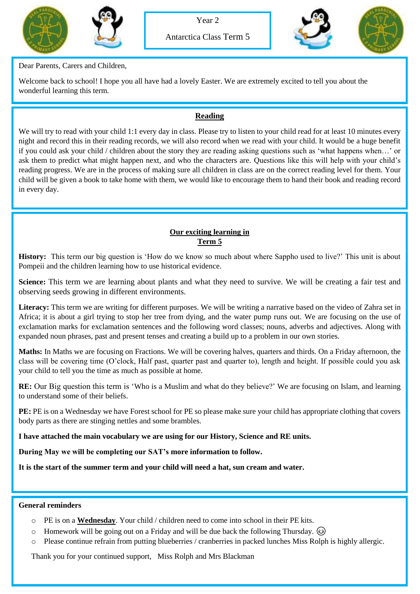





Dear Parents, Carers and Children,

Welcome back to school! I hope you all have had a lovely Easter. We are extremely excited to tell you about the wonderful learning this term.

## **Reading**

We will try to read with your child 1:1 every day in class. Please try to listen to your child read for at least 10 minutes every night and record this in their reading records, we will also record when we read with your child. It would be a huge benefit if you could ask your child / children about the story they are reading asking questions such as 'what happens when…' or ask them to predict what might happen next, and who the characters are. Questions like this will help with your child's reading progress. We are in the process of making sure all children in class are on the correct reading level for them. Your child will be given a book to take home with them, we would like to encourage them to hand their book and reading record in every day.

## **Our exciting learning in Term 5**

**History:** This term our big question is 'How do we know so much about where Sappho used to live?' This unit is about Pompeii and the children learning how to use historical evidence.

**Science:** This term we are learning about plants and what they need to survive. We will be creating a fair test and observing seeds growing in different environments.

Literacy: This term we are writing for different purposes. We will be writing a narrative based on the video of Zahra set in Africa; it is about a girl trying to stop her tree from dying, and the water pump runs out. We are focusing on the use of exclamation marks for exclamation sentences and the following word classes; nouns, adverbs and adjectives. Along with expanded noun phrases, past and present tenses and creating a build up to a problem in our own stories.

**Maths:** In Maths we are focusing on Fractions. We will be covering halves, quarters and thirds. On a Friday afternoon, the class will be covering time (O'clock, Half past, quarter past and quarter to), length and height. If possible could you ask your child to tell you the time as much as possible at home.

**RE:** Our Big question this term is 'Who is a Muslim and what do they believe?' We are focusing on Islam, and learning to understand some of their beliefs.

**PE:** PE is on a Wednesday we have Forest school for PE so please make sure your child has appropriate clothing that covers body parts as there are stinging nettles and some brambles.

**I have attached the main vocabulary we are using for our History, Science and RE units.**

**During May we will be completing our SAT's more information to follow.**

**It is the start of the summer term and your child will need a hat, sun cream and water.**

## **General reminders**

- o PE is on a **Wednesday**. Your child / children need to come into school in their PE kits.
- $\circ$  Homework will be going out on a Friday and will be due back the following Thursday.  $\circled{e}$
- o Please continue refrain from putting blueberries / cranberries in packed lunches Miss Rolph is highly allergic.

Thank you for your continued support, Miss Rolph and Mrs Blackman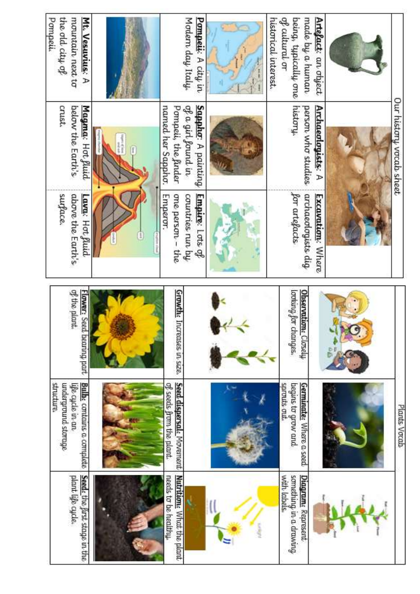| the old $\dim \mathfrak{g}$<br>Pompeii.<br>mountain next to<br>Mt. Vesuvius: A    |                                                                                                                                                                                                                                                                                                                                                                                                                                                                                | Modern day Italy.<br><b>Pompeii:</b> A city in                                              | of cultural or<br>made by a human<br>being, typically one<br>historical interest. | Artefact: an object      |                         |
|-----------------------------------------------------------------------------------|--------------------------------------------------------------------------------------------------------------------------------------------------------------------------------------------------------------------------------------------------------------------------------------------------------------------------------------------------------------------------------------------------------------------------------------------------------------------------------|---------------------------------------------------------------------------------------------|-----------------------------------------------------------------------------------|--------------------------|-------------------------|
| below the Earth's<br>crust.<br>Magma: Hot Juid                                    | $\begin{array}{l} \frac{1}{2} \left( \frac{1}{2} \right) \left( \frac{1}{2} \right) \left( \frac{1}{2} \right) \\ \frac{1}{2} \left( \frac{1}{2} \right) \left( \frac{1}{2} \right) \left( \frac{1}{2} \right) \left( \frac{1}{2} \right) \left( \frac{1}{2} \right) \left( \frac{1}{2} \right) \left( \frac{1}{2} \right) \left( \frac{1}{2} \right) \left( \frac{1}{2} \right) \left( \frac{1}{2} \right) \left( \frac{1}{2} \right) \left( \frac{1}{2} \right) \left($<br>ſ | <b>Sapphe:</b> A painting<br>named her Sappho.<br>of a girl found in<br>Pompeii, the finder | history<br>person who studies                                                     | Archaeologists: A        | Our history vocab sheet |
| surface.<br>above the Earth's<br>Lava: Hot fluid                                  | L                                                                                                                                                                                                                                                                                                                                                                                                                                                                              | one person -<br><b>Empure:</b> Lots of<br>Emperor.<br>countries run by<br>- the             | for artefacts.<br>archaeologists dig                                              | <b>Excavation:</b> Where |                         |
| of the plant.<br>Flower: Seed bearing part                                        |                                                                                                                                                                                                                                                                                                                                                                                                                                                                                | <b>Growth</b> e Increases in size.                                                          | aaf bunaan<br><b>Observation</b> Closely<br>changes.                              |                          |                         |
| structure<br>malerground storage<br>Bulb. contains a complete<br>life cycle in an |                                                                                                                                                                                                                                                                                                                                                                                                                                                                                | Seed dispersal: Movement<br>of seeds from the plant                                         | sprouts out.<br><b>Germinate:</b> Where a seed<br>begus to grow and               |                          | Plants Vocab            |
| Seed: the first stage in the<br>plant life cycle.                                 |                                                                                                                                                                                                                                                                                                                                                                                                                                                                                | <b>Nutritions</b> What the plant<br>needs to be healthy                                     | something in a drawing<br>with labels.<br>Diagram: Represent                      |                          |                         |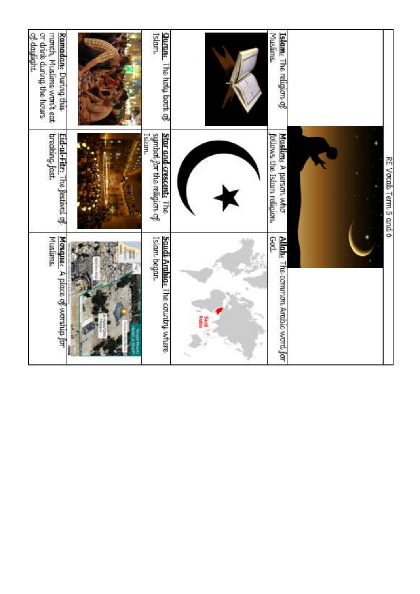| of daylight.<br>month, Muslims won't eat.<br>or drink during the hours<br>Ramadan <sub>s</sub> During this | <b>Qurane</b> , The holy book of<br>Islam,                              |   | <b>Muslums</b><br>Islam <sub>s</sub> The religion of            |                       |
|------------------------------------------------------------------------------------------------------------|-------------------------------------------------------------------------|---|-----------------------------------------------------------------|-----------------------|
| Eid-ul-Fitr: The Jestival of<br>breaking fast.                                                             | Star and crescent:<br>symbal for the religion of<br><b>Slam</b><br>l he |   | Muslim <sub>s</sub> A person who<br>follows the Islam religion. | RE Vocab Term 5 and 6 |
| <b>Muslums</b> ,<br>Mosque: A place of worship for                                                         | Saudi Arabia: The country where<br>Islam began.                         | Ì | GodL<br>Allah: The common Arabic word for                       |                       |